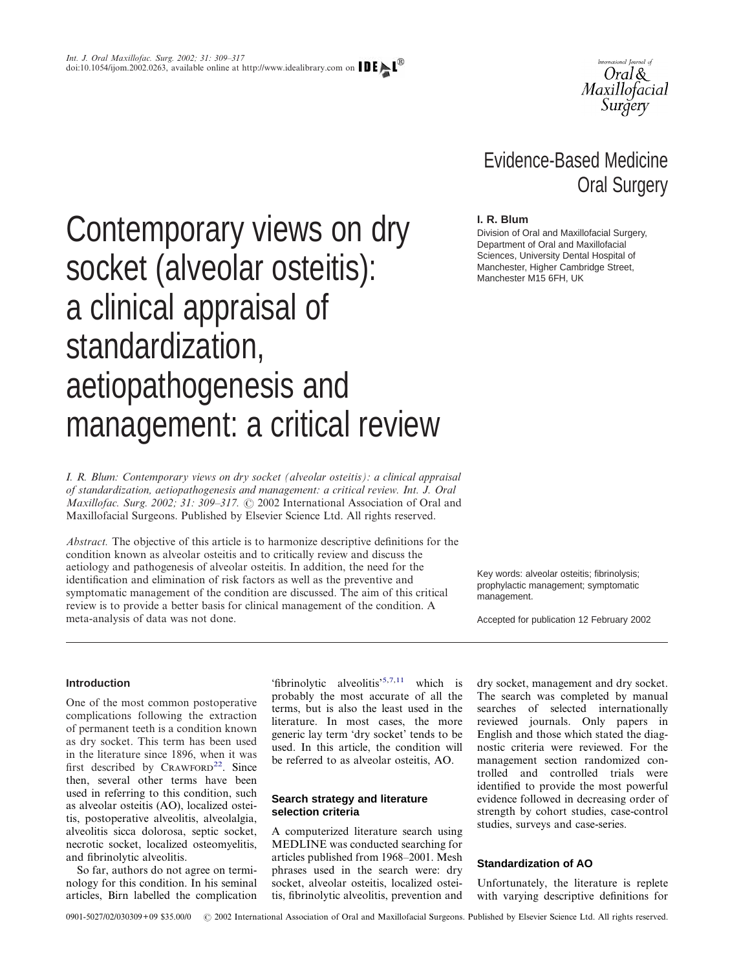

# Evidence-Based Medicine Oral Surgery

# **I. R. Blum**

Division of Oral and Maxillofacial Surgery, Department of Oral and Maxillofacial Sciences, University Dental Hospital of Manchester, Higher Cambridge Street, Manchester M15 6FH, UK

# Contemporary views on dry socket (alveolar osteitis): a clinical appraisal of standardization, aetiopathogenesis and management: a critical review

*I. R. Blum: Contemporary views on dry socket (alveolar osteitis): a clinical appraisal of standardization, aetiopathogenesis and management: a critical review. Int. J. Oral Maxillofac. Surg. 2002; 31: 309–317.*  $\odot$  2002 International Association of Oral and Maxillofacial Surgeons. Published by Elsevier Science Ltd. All rights reserved.

*Abstract.* The objective of this article is to harmonize descriptive definitions for the condition known as alveolar osteitis and to critically review and discuss the aetiology and pathogenesis of alveolar osteitis. In addition, the need for the identification and elimination of risk factors as well as the preventive and symptomatic management of the condition are discussed. The aim of this critical review is to provide a better basis for clinical management of the condition. A meta-analysis of data was not done.

Key words: alveolar osteitis; fibrinolysis; prophylactic management; symptomatic management.

Accepted for publication 12 February 2002

# **Introduction**

One of the most common postoperative complications following the extraction of permanent teeth is a condition known as dry socket. This term has been used in the literature since 1896, when it was first described by  $C_{\text{RAWFORD}}^{22}$ . Since then, several other terms have been used in referring to this condition, such as alveolar osteitis (AO), localized osteitis, postoperative alveolitis, alveolalgia, alveolitis sicca dolorosa, septic socket, necrotic socket, localized osteomyelitis, and fibrinolytic alveolitis.

So far, authors do not agree on terminology for this condition. In his seminal articles, Birn labelled the complication

'fibrinolytic alveolitis'[5](#page-7-1)[,7](#page-7-2)[,11](#page-7-3) which is probably the most accurate of all the terms, but is also the least used in the literature. In most cases, the more generic lay term 'dry socket' tends to be used. In this article, the condition will be referred to as alveolar osteitis, AO.

# **Search strategy and literature selection criteria**

A computerized literature search using MEDLINE was conducted searching for articles published from 1968–2001. Mesh phrases used in the search were: dry socket, alveolar osteitis, localized osteitis, fibrinolytic alveolitis, prevention and

dry socket, management and dry socket. The search was completed by manual searches of selected internationally reviewed journals. Only papers in English and those which stated the diagnostic criteria were reviewed. For the management section randomized controlled and controlled trials were identified to provide the most powerful evidence followed in decreasing order of strength by cohort studies, case-control studies, surveys and case-series.

# **Standardization of AO**

Unfortunately, the literature is replete with varying descriptive definitions for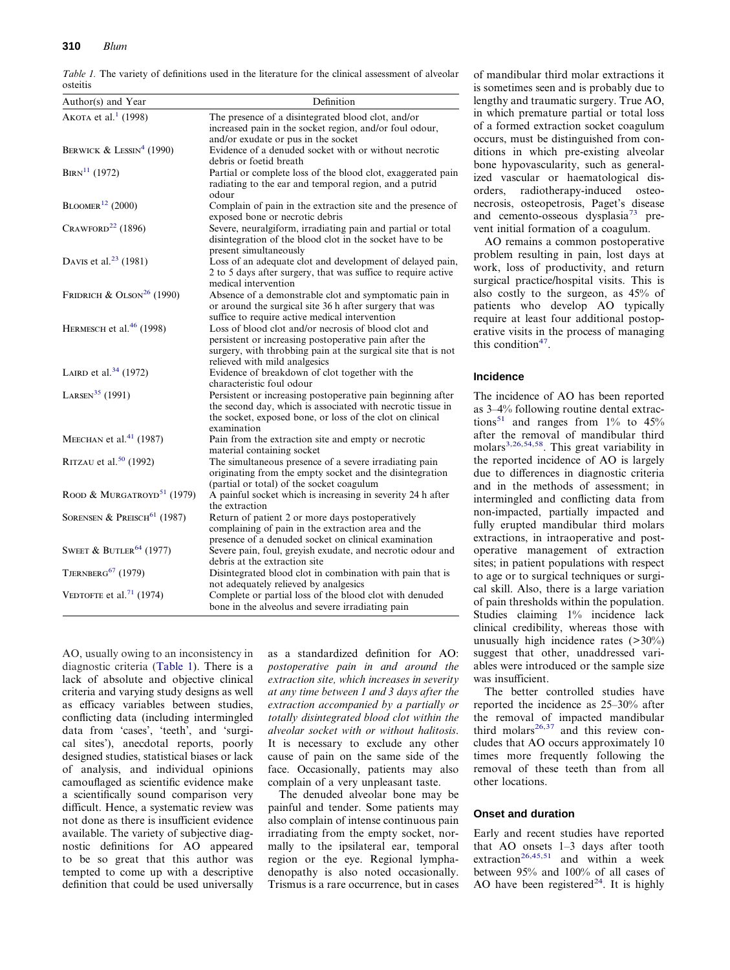<span id="page-1-0"></span>*Table 1*. The variety of definitions used in the literature for the clinical assessment of alveolar osteitis

| Author(s) and Year                      | Definition                                                                                                                                                                                                      |
|-----------------------------------------|-----------------------------------------------------------------------------------------------------------------------------------------------------------------------------------------------------------------|
| Акота et al. <sup>1</sup> (1998)        | The presence of a disintegrated blood clot, and/or<br>increased pain in the socket region, and/or foul odour,<br>and/or exudate or pus in the socket                                                            |
| BERWICK & LESSIN <sup>4</sup> (1990)    | Evidence of a denuded socket with or without necrotic<br>debris or foetid breath                                                                                                                                |
| $B\text{IRN}^{11}$ (1972)               | Partial or complete loss of the blood clot, exaggerated pain<br>radiating to the ear and temporal region, and a putrid<br>odour                                                                                 |
| BLOOMER <sup>12</sup> (2000)            | Complain of pain in the extraction site and the presence of<br>exposed bone or necrotic debris                                                                                                                  |
| CRAWFORD <sup>22</sup> (1896)           | Severe, neuralgiform, irradiating pain and partial or total<br>disintegration of the blood clot in the socket have to be<br>present simultaneously                                                              |
| DAVIS et al. <sup>23</sup> (1981)       | Loss of an adequate clot and development of delayed pain,<br>2 to 5 days after surgery, that was suffice to require active<br>medical intervention                                                              |
| FRIDRICH & $OLSON26$ (1990)             | Absence of a demonstrable clot and symptomatic pain in<br>or around the surgical site 36 h after surgery that was<br>suffice to require active medical intervention                                             |
| HERMESCH et al. <sup>46</sup> (1998)    | Loss of blood clot and/or necrosis of blood clot and<br>persistent or increasing postoperative pain after the<br>surgery, with throbbing pain at the surgical site that is not<br>relieved with mild analgesics |
| LAIRD et al. <sup>34</sup> (1972)       | Evidence of breakdown of clot together with the<br>characteristic foul odour                                                                                                                                    |
| LARSEN <sup>35</sup> (1991)             | Persistent or increasing postoperative pain beginning after<br>the second day, which is associated with necrotic tissue in<br>the socket, exposed bone, or loss of the clot on clinical<br>examination          |
| MEECHAN et al. <sup>41</sup> (1987)     | Pain from the extraction site and empty or necrotic<br>material containing socket                                                                                                                               |
| RITZAU et al. <sup>50</sup> (1992)      | The simultaneous presence of a severe irradiating pain<br>originating from the empty socket and the disintegration<br>(partial or total) of the socket coagulum                                                 |
| ROOD & MURGATROYD <sup>51</sup> (1979)  | A painful socket which is increasing in severity 24 h after<br>the extraction                                                                                                                                   |
| SORENSEN & PREISCH <sup>61</sup> (1987) | Return of patient 2 or more days postoperatively<br>complaining of pain in the extraction area and the<br>presence of a denuded socket on clinical examination                                                  |
| SWEET & BUTLER <sup>64</sup> (1977)     | Severe pain, foul, greyish exudate, and necrotic odour and<br>debris at the extraction site                                                                                                                     |
| TJERNBERG <sup>67</sup> (1979)          | Disintegrated blood clot in combination with pain that is<br>not adequately relieved by analgesics                                                                                                              |
| VEDTOFTE et al. <sup>71</sup> (1974)    | Complete or partial loss of the blood clot with denuded<br>bone in the alveolus and severe irradiating pain                                                                                                     |

AO, usually owing to an inconsistency in diagnostic criteria [\(Table 1\)](#page-1-0). There is a lack of absolute and objective clinical criteria and varying study designs as well as efficacy variables between studies, conflicting data (including intermingled data from 'cases', 'teeth', and 'surgical sites'), anecdotal reports, poorly designed studies, statistical biases or lack of analysis, and individual opinions camouflaged as scientific evidence make a scientifically sound comparison very difficult. Hence, a systematic review was not done as there is insufficient evidence available. The variety of subjective diagnostic definitions for AO appeared to be so great that this author was tempted to come up with a descriptive definition that could be used universally as a standardized definition for AO: *postoperative pain in and around the extraction site, which increases in severity at any time between 1 and 3 days after the extraction accompanied by a partially or totally disintegrated blood clot within the alveolar socket with or without halitosis*. It is necessary to exclude any other cause of pain on the same side of the face. Occasionally, patients may also complain of a very unpleasant taste.

The denuded alveolar bone may be painful and tender. Some patients may also complain of intense continuous pain irradiating from the empty socket, normally to the ipsilateral ear, temporal region or the eye. Regional lymphadenopathy is also noted occasionally. Trismus is a rare occurrence, but in cases

of mandibular third molar extractions it is sometimes seen and is probably due to lengthy and traumatic surgery. True AO, in which premature partial or total loss of a formed extraction socket coagulum occurs, must be distinguished from conditions in which pre-existing alveolar bone hypovascularity, such as generalized vascular or haematological disorders, radiotherapy-induced osteonecrosis, osteopetrosis, Paget's disease and cemento-osseous dysplasia<sup>[73](#page-8-0)</sup> prevent initial formation of a coagulum.

AO remains a common postoperative problem resulting in pain, lost days at work, loss of productivity, and return surgical practice/hospital visits. This is also costly to the surgeon, as 45% of patients who develop AO typically require at least four additional postoperative visits in the process of managing this condition $47$ .

# **Incidence**

The incidence of AO has been reported as 3–4% following routine dental extrac-tions<sup>[51](#page-8-1)</sup> and ranges from  $1\%$  to  $45\%$ after the removal of mandibular third molars<sup>[3](#page-7-5)[,26](#page-7-6)[,54](#page-8-2),58</sup>. This great variability in the reported incidence of AO is largely due to differences in diagnostic criteria and in the methods of assessment; in intermingled and conflicting data from non-impacted, partially impacted and fully erupted mandibular third molars extractions, in intraoperative and postoperative management of extraction sites; in patient populations with respect to age or to surgical techniques or surgical skill. Also, there is a large variation of pain thresholds within the population. Studies claiming 1% incidence lack clinical credibility, whereas those with unusually high incidence rates  $(>30\%)$ suggest that other, unaddressed variables were introduced or the sample size was insufficient.

The better controlled studies have reported the incidence as 25–30% after the removal of impacted mandibular third molars<sup>[26](#page-7-6)[,37](#page-7-7)</sup> and this review concludes that AO occurs approximately 10 times more frequently following the removal of these teeth than from all other locations.

# **Onset and duration**

Early and recent studies have reported that AO onsets 1–3 days after tooth extraction<sup>[26](#page-7-6)[,45](#page-7-8)[,51](#page-8-1)</sup> and within a week between 95% and 100% of all cases of AO have been registered<sup>24</sup>. It is highly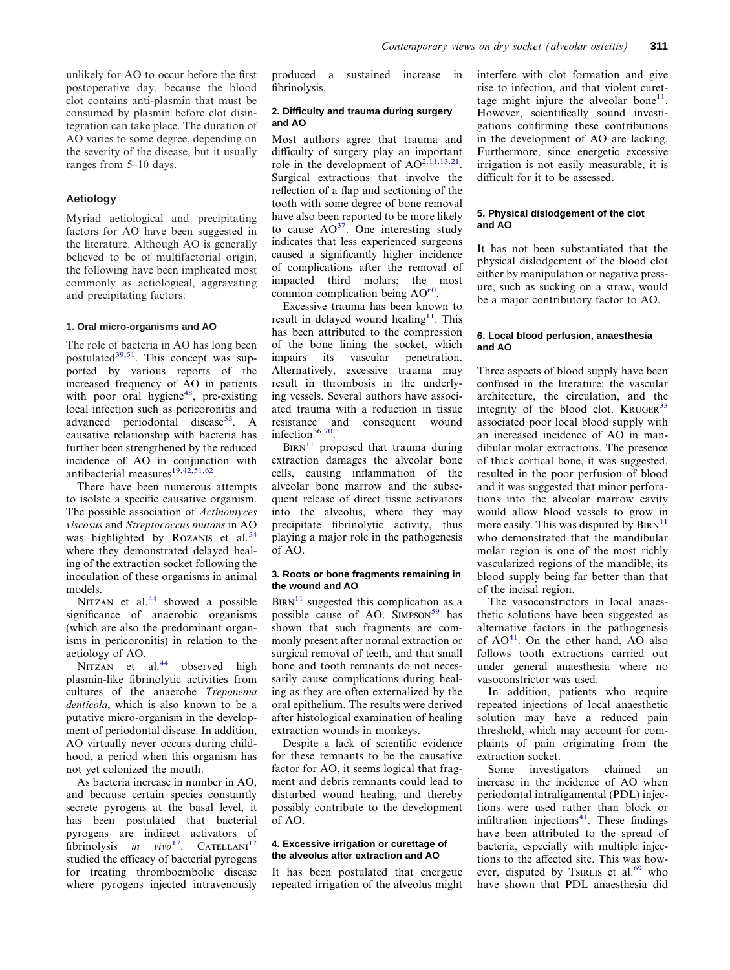unlikely for AO to occur before the first postoperative day, because the blood clot contains anti-plasmin that must be consumed by plasmin before clot disintegration can take place. The duration of AO varies to some degree, depending on the severity of the disease, but it usually ranges from 5–10 days.

# **Aetiology**

Myriad aetiological and precipitating factors for AO have been suggested in the literature. Although AO is generally believed to be of multifactorial origin, the following have been implicated most commonly as aetiological, aggravating and precipitating factors:

# **1. Oral micro-organisms and AO**

The role of bacteria in AO has long been postulated $39,51$  $39,51$ . This concept was supported by various reports of the increased frequency of AO in patients with poor oral hygiene<sup>48</sup>, pre-existing local infection such as pericoronitis and advanced periodontal disease<sup>55</sup>. A causative relationship with bacteria has further been strengthened by the reduced incidence of AO in conjunction with antibacterial measures<sup>[19,](#page-7-21)[42](#page-7-22)[,51](#page-8-1),62</sup>.

There have been numerous attempts to isolate a specific causative organism. The possible association of *Actinomyces viscosus* and *Streptococcus mutans* in AO was highlighted by ROZANIS et al.<sup>[54](#page-8-2)</sup> where they demonstrated delayed healing of the extraction socket following the inoculation of these organisms in animal models.

NITZAN et al.<sup>[44](#page-7-23)</sup> showed a possible significance of anaerobic organisms (which are also the predominant organisms in pericoronitis) in relation to the aetiology of AO.

 $NITZAN$  et al.<sup>[44](#page-7-23)</sup> observed high plasmin-like fibrinolytic activities from cultures of the anaerobe *Treponema denticola*, which is also known to be a putative micro-organism in the development of periodontal disease. In addition, AO virtually never occurs during childhood, a period when this organism has not yet colonized the mouth.

As bacteria increase in number in AO, and because certain species constantly secrete pyrogens at the basal level, it has been postulated that bacterial pyrogens are indirect activators of fibrinolysis *in vivo*<sup>[17](#page-7-24)</sup>. CATELLANI<sup>17</sup> studied the efficacy of bacterial pyrogens for treating thromboembolic disease where pyrogens injected intravenously produced a sustained increase in fibrinolysis.

# **2. Difficulty and trauma during surgery and AO**

Most authors agree that trauma and difficulty of surgery play an important role in the development of  $AO^{2,11,13,21}$  $AO^{2,11,13,21}$  $AO^{2,11,13,21}$  $AO^{2,11,13,21}$  $AO^{2,11,13,21}$ . Surgical extractions that involve the reflection of a flap and sectioning of the tooth with some degree of bone removal have also been reported to be more likely to cause  $AO^{37}$ . One interesting study indicates that less experienced surgeons caused a significantly higher incidence of complications after the removal of impacted third molars; the most common complication being  $AO<sup>60</sup>$ .

Excessive trauma has been known to result in delayed wound healing<sup>11</sup>. This has been attributed to the compression of the bone lining the socket, which impairs its vascular penetration. Alternatively, excessive trauma may result in thrombosis in the underlying vessels. Several authors have associated trauma with a reduction in tissue resistance and consequent wound infection $36,70$ .

 $BIRN<sup>11</sup>$  $BIRN<sup>11</sup>$  $BIRN<sup>11</sup>$  proposed that trauma during extraction damages the alveolar bone cells, causing inflammation of the alveolar bone marrow and the subsequent release of direct tissue activators into the alveolus, where they may precipitate fibrinolytic activity, thus playing a major role in the pathogenesis of AO.

# **3. Roots or bone fragments remaining in the wound and AO**

 $BIRN<sup>11</sup>$  $BIRN<sup>11</sup>$  $BIRN<sup>11</sup>$  suggested this complication as a possible cause of AO. SIMPSON<sup>[59](#page-8-12)</sup> has shown that such fragments are commonly present after normal extraction or surgical removal of teeth, and that small bone and tooth remnants do not necessarily cause complications during healing as they are often externalized by the oral epithelium. The results were derived after histological examination of healing extraction wounds in monkeys.

Despite a lack of scientific evidence for these remnants to be the causative factor for AO, it seems logical that fragment and debris remnants could lead to disturbed wound healing, and thereby possibly contribute to the development of AO.

#### **4. Excessive irrigation or curettage of the alveolus after extraction and AO**

It has been postulated that energetic repeated irrigation of the alveolus might

interfere with clot formation and give rise to infection, and that violent curettage might injure the alveolar bone<sup>11</sup>. However, scientifically sound investigations confirming these contributions in the development of AO are lacking. Furthermore, since energetic excessive irrigation is not easily measurable, it is difficult for it to be assessed.

# **5. Physical dislodgement of the clot and AO**

It has not been substantiated that the physical dislodgement of the blood clot either by manipulation or negative pressure, such as sucking on a straw, would be a major contributory factor to AO.

#### **6. Local blood perfusion, anaesthesia and AO**

Three aspects of blood supply have been confused in the literature; the vascular architecture, the circulation, and the integrity of the blood clot.  $K_{\text{RUGER}}^{33}$  $K_{\text{RUGER}}^{33}$  $K_{\text{RUGER}}^{33}$ associated poor local blood supply with an increased incidence of AO in mandibular molar extractions. The presence of thick cortical bone, it was suggested, resulted in the poor perfusion of blood and it was suggested that minor perforations into the alveolar marrow cavity would allow blood vessels to grow in more easily. This was disputed by  $BIRN<sup>11</sup>$  $BIRN<sup>11</sup>$  $BIRN<sup>11</sup>$ who demonstrated that the mandibular molar region is one of the most richly vascularized regions of the mandible, its blood supply being far better than that of the incisal region.

The vasoconstrictors in local anaesthetic solutions have been suggested as alternative factors in the pathogenesis of  $AO<sup>41</sup>$ . On the other hand, AO also follows tooth extractions carried out under general anaesthesia where no vasoconstrictor was used.

In addition, patients who require repeated injections of local anaesthetic solution may have a reduced pain threshold, which may account for complaints of pain originating from the extraction socket.

Some investigators claimed an increase in the incidence of AO when periodontal intraligamental (PDL) injections were used rather than block or infiltration injections $41$ . These findings have been attributed to the spread of bacteria, especially with multiple injections to the affected site. This was how-ever, disputed by Tsircus et al.<sup>[69](#page-8-13)</sup> who have shown that PDL anaesthesia did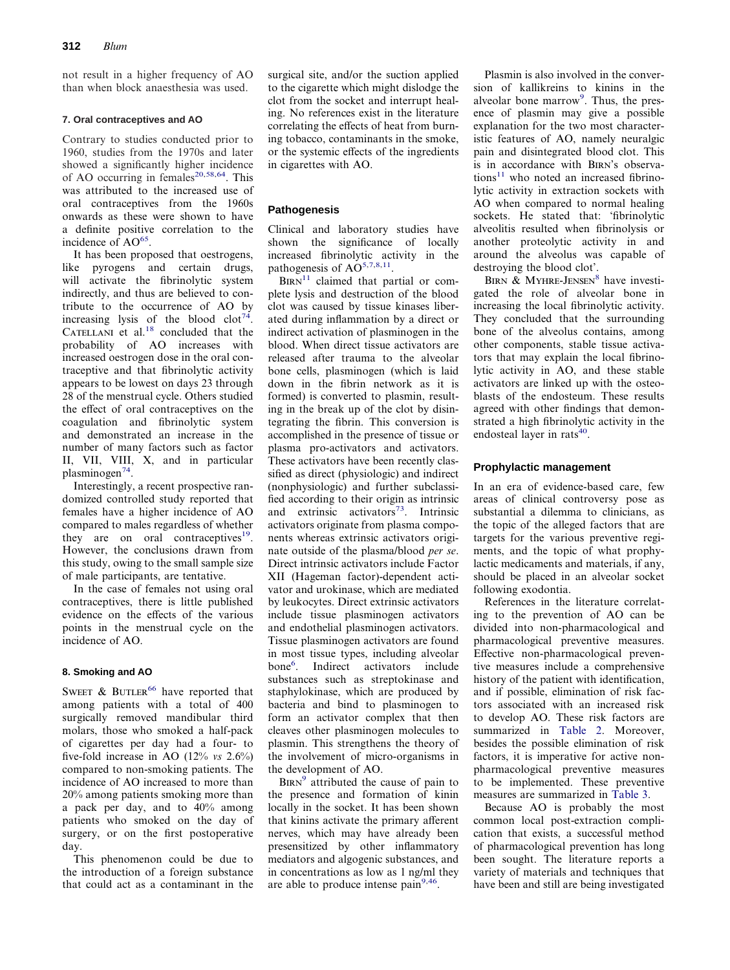not result in a higher frequency of AO than when block anaesthesia was used.

# **7. Oral contraceptives and AO**

Contrary to studies conducted prior to 1960, studies from the 1970s and later showed a significantly higher incidence of AO occurring in females<sup>[20](#page-7-29)[,58](#page-8-3),64</sup>. This was attributed to the increased use of oral contraceptives from the 1960s onwards as these were shown to have a definite positive correlation to the incidence of AO<sup>65</sup>.

It has been proposed that oestrogens, like pyrogens and certain drugs, will activate the fibrinolytic system indirectly, and thus are believed to contribute to the occurrence of AO by increasing lysis of the blood  $dot^{74}$ .  $CATELLANI$  et al.<sup>[18](#page-7-30)</sup> concluded that the probability of AO increases with increased oestrogen dose in the oral contraceptive and that fibrinolytic activity appears to be lowest on days 23 through 28 of the menstrual cycle. Others studied the effect of oral contraceptives on the coagulation and fibrinolytic system and demonstrated an increase in the number of many factors such as factor II, VII, VIII, X, and in particular plasminogen<sup>74</sup>

Interestingly, a recent prospective randomized controlled study reported that females have a higher incidence of AO compared to males regardless of whether they are on oral contraceptives $19$ . However, the conclusions drawn from this study, owing to the small sample size of male participants, are tentative.

In the case of females not using oral contraceptives, there is little published evidence on the effects of the various points in the menstrual cycle on the incidence of AO.

# **8. Smoking and AO**

SWEET  $&$  BUTLER<sup>[66](#page-8-16)</sup> have reported that among patients with a total of 400 surgically removed mandibular third molars, those who smoked a half-pack of cigarettes per day had a four- to five-fold increase in AO (12% *vs* 2.6%) compared to non-smoking patients. The incidence of AO increased to more than 20% among patients smoking more than a pack per day, and to 40% among patients who smoked on the day of surgery, or on the first postoperative day.

This phenomenon could be due to the introduction of a foreign substance that could act as a contaminant in the surgical site, and/or the suction applied to the cigarette which might dislodge the clot from the socket and interrupt healing. No references exist in the literature correlating the effects of heat from burning tobacco, contaminants in the smoke, or the systemic effects of the ingredients in cigarettes with AO.

# **Pathogenesis**

Clinical and laboratory studies have shown the significance of locally increased fibrinolytic activity in the pathogenesis of AO<sup>[5](#page-7-1)[,7](#page-7-2)[,8](#page-7-31),11</sup>.

 $BIRN<sup>11</sup>$  $BIRN<sup>11</sup>$  $BIRN<sup>11</sup>$  claimed that partial or complete lysis and destruction of the blood clot was caused by tissue kinases liberated during inflammation by a direct or indirect activation of plasminogen in the blood. When direct tissue activators are released after trauma to the alveolar bone cells, plasminogen (which is laid down in the fibrin network as it is formed) is converted to plasmin, resulting in the break up of the clot by disintegrating the fibrin. This conversion is accomplished in the presence of tissue or plasma pro-activators and activators. These activators have been recently classified as direct (physiologic) and indirect (nonphysiologic) and further subclassified according to their origin as intrinsic and extrinsic activators $73$ . Intrinsic activators originate from plasma components whereas extrinsic activators originate outside of the plasma/blood *per se*. Direct intrinsic activators include Factor XII (Hageman factor)-dependent activator and urokinase, which are mediated by leukocytes. Direct extrinsic activators include tissue plasminogen activators and endothelial plasminogen activators. Tissue plasminogen activators are found in most tissue types, including alveolar bone<sup>[6](#page-7-32)</sup>. . Indirect activators include substances such as streptokinase and staphylokinase, which are produced by bacteria and bind to plasminogen to form an activator complex that then cleaves other plasminogen molecules to plasmin. This strengthens the theory of the involvement of micro-organisms in the development of AO.

 $BIRN<sup>9</sup>$  $BIRN<sup>9</sup>$  $BIRN<sup>9</sup>$  attributed the cause of pain to the presence and formation of kinin locally in the socket. It has been shown that kinins activate the primary afferent nerves, which may have already been presensitized by other inflammatory mediators and algogenic substances, and in concentrations as low as 1 ng/ml they are able to produce intense  $\text{pain}^{9,46}$  $\text{pain}^{9,46}$  $\text{pain}^{9,46}$ .

Plasmin is also involved in the conversion of kallikreins to kinins in the alveolar bone marrow<sup>[9](#page-7-33)</sup>. Thus, the presence of plasmin may give a possible explanation for the two most characteristic features of AO, namely neuralgic pain and disintegrated blood clot. This is in accordance with BIRN's observa- $tions<sup>11</sup>$  $tions<sup>11</sup>$  $tions<sup>11</sup>$  who noted an increased fibrinolytic activity in extraction sockets with AO when compared to normal healing sockets. He stated that: 'fibrinolytic alveolitis resulted when fibrinolysis or another proteolytic activity in and around the alveolus was capable of destroying the blood clot'.

BIRN & MYHRE-JENSEN<sup>[8](#page-7-31)</sup> have investigated the role of alveolar bone in increasing the local fibrinolytic activity. They concluded that the surrounding bone of the alveolus contains, among other components, stable tissue activators that may explain the local fibrinolytic activity in AO, and these stable activators are linked up with the osteoblasts of the endosteum. These results agreed with other findings that demonstrated a high fibrinolytic activity in the endosteal layer in rats<sup>40</sup>.

# **Prophylactic management**

In an era of evidence-based care, few areas of clinical controversy pose as substantial a dilemma to clinicians, as the topic of the alleged factors that are targets for the various preventive regiments, and the topic of what prophylactic medicaments and materials, if any, should be placed in an alveolar socket following exodontia.

References in the literature correlating to the prevention of AO can be divided into non-pharmacological and pharmacological preventive measures. Effective non-pharmacological preventive measures include a comprehensive history of the patient with identification, and if possible, elimination of risk factors associated with an increased risk to develop AO. These risk factors are summarized in [Table 2.](#page-4-0) Moreover, besides the possible elimination of risk factors, it is imperative for active nonpharmacological preventive measures to be implemented. These preventive measures are summarized in [Table 3.](#page-4-1)

Because AO is probably the most common local post-extraction complication that exists, a successful method of pharmacological prevention has long been sought. The literature reports a variety of materials and techniques that have been and still are being investigated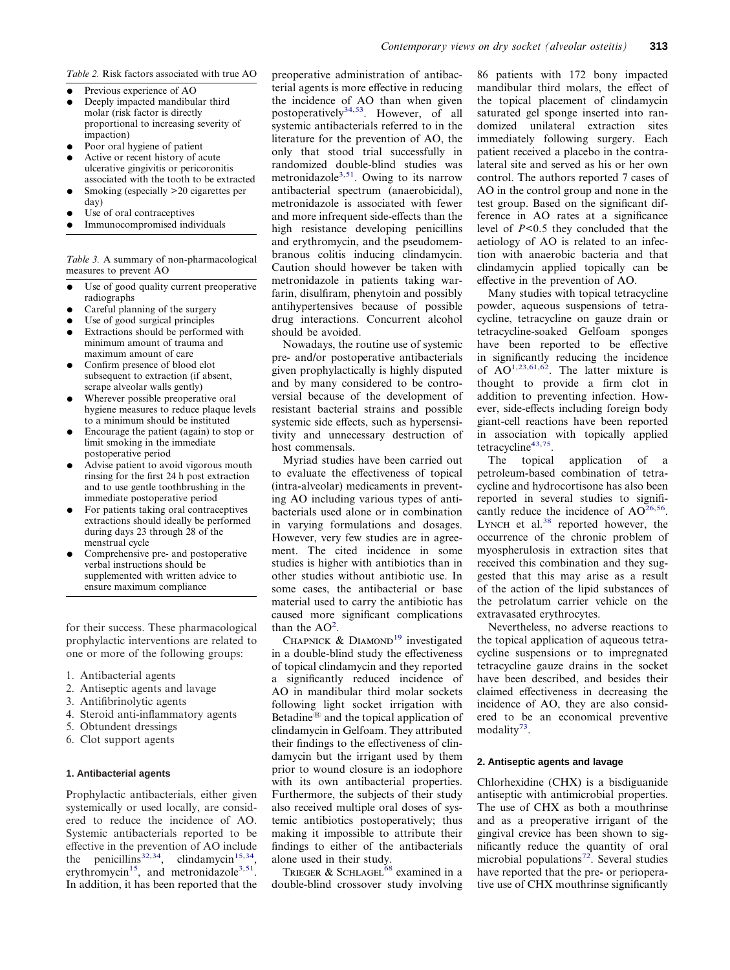<span id="page-4-0"></span>*Table 2.* Risk factors associated with true AO

- Previous experience of AO
- Deeply impacted mandibular third molar (risk factor is directly proportional to increasing severity of impaction)
- Poor oral hygiene of patient
- Active or recent history of acute ulcerative gingivitis or pericoronitis associated with the tooth to be extracted
- Smoking (especially >20 cigarettes per day)
- Use of oral contraceptives
- Immunocompromised individuals

<span id="page-4-1"></span>*Table 3.* A summary of non-pharmacological measures to prevent AO

- Use of good quality current preoperative radiographs
- Careful planning of the surgery
- Use of good surgical principles
- Extractions should be performed with minimum amount of trauma and maximum amount of care
- Confirm presence of blood clot subsequent to extraction (if absent, scrape alveolar walls gently)
- Wherever possible preoperative oral hygiene measures to reduce plaque levels to a minimum should be instituted
- Encourage the patient (again) to stop or limit smoking in the immediate postoperative period
- Advise patient to avoid vigorous mouth rinsing for the first 24 h post extraction and to use gentle toothbrushing in the immediate postoperative period
- For patients taking oral contraceptives extractions should ideally be performed during days 23 through 28 of the menstrual cycle
- Comprehensive pre- and postoperative verbal instructions should be supplemented with written advice to ensure maximum compliance

for their success. These pharmacological prophylactic interventions are related to one or more of the following groups:

- 1. Antibacterial agents
- 2. Antiseptic agents and lavage
- 3. Antifibrinolytic agents
- 4. Steroid anti-inflammatory agents
- 5. Obtundent dressings
- 6. Clot support agents

# **1. Antibacterial agents**

Prophylactic antibacterials, either given systemically or used locally, are considered to reduce the incidence of AO. Systemic antibacterials reported to be effective in the prevention of AO include the penicillins<sup>[32](#page-7-35),34</sup>, clindamycin<sup>15,34</sup>, erythromycin<sup>15</sup>, and metronidazole<sup>3,51</sup>. In addition, it has been reported that the

preoperative administration of antibacterial agents is more effective in reducing the incidence of AO than when given postoperatively<sup>[34](#page-7-15),53</sup>. However, of all systemic antibacterials referred to in the literature for the prevention of AO, the only that stood trial successfully in randomized double-blind studies was metronidazole<sup>[3](#page-7-5),51</sup>. Owing to its narrow antibacterial spectrum (anaerobicidal), metronidazole is associated with fewer and more infrequent side-effects than the high resistance developing penicillins and erythromycin, and the pseudomembranous colitis inducing clindamycin. Caution should however be taken with metronidazole in patients taking warfarin, disulfiram, phenytoin and possibly antihypertensives because of possible drug interactions. Concurrent alcohol should be avoided.

Nowadays, the routine use of systemic pre- and/or postoperative antibacterials given prophylactically is highly disputed and by many considered to be controversial because of the development of resistant bacterial strains and possible systemic side effects, such as hypersensitivity and unnecessary destruction of host commensals.

Myriad studies have been carried out to evaluate the effectiveness of topical (intra-alveolar) medicaments in preventing AO including various types of antibacterials used alone or in combination in varying formulations and dosages. However, very few studies are in agreement. The cited incidence in some studies is higher with antibiotics than in other studies without antibiotic use. In some cases, the antibacterial or base material used to carry the antibiotic has caused more significant complications than the  $AO^2$  $AO^2$ .

CHAPNICK &  $D$ IAMOND<sup>[19](#page-7-21)</sup> investigated in a double-blind study the effectiveness of topical clindamycin and they reported a significantly reduced incidence of AO in mandibular third molar sockets following light socket irrigation with Betadine<sup>®</sup> and the topical application of clindamycin in Gelfoam. They attributed their findings to the effectiveness of clindamycin but the irrigant used by them prior to wound closure is an iodophore with its own antibacterial properties. Furthermore, the subjects of their study also received multiple oral doses of systemic antibiotics postoperatively; thus making it impossible to attribute their findings to either of the antibacterials alone used in their study.

TRIEGER & SCHLAGEL<sup>[68](#page-8-18)</sup> examined in a double-blind crossover study involving

86 patients with 172 bony impacted mandibular third molars, the effect of the topical placement of clindamycin saturated gel sponge inserted into randomized unilateral extraction sites immediately following surgery. Each patient received a placebo in the contralateral site and served as his or her own control. The authors reported 7 cases of AO in the control group and none in the test group. Based on the significant difference in AO rates at a significance level of *P<*0.5 they concluded that the aetiology of AO is related to an infection with anaerobic bacteria and that clindamycin applied topically can be effective in the prevention of AO.

Many studies with topical tetracycline powder, aqueous suspensions of tetracycline, tetracycline on gauze drain or tetracycline-soaked Gelfoam sponges have been reported to be effective in significantly reducing the incidence of AO[1](#page-7-10)[,23](#page-7-13)[,61](#page-8-4)[,62.](#page-8-9) The latter mixture is thought to provide a firm clot in addition to preventing infection. However, side-effects including foreign body giant-cell reactions have been reported in association with topically applied tetracycline<sup>[43](#page-7-37),75</sup>.<br>The topical

application of a petroleum-based combination of tetracycline and hydrocortisone has also been reported in several studies to significantly reduce the incidence of  $AO^{26,56}$  $AO^{26,56}$  $AO^{26,56}$ . LYNCH et al. $38$  reported however, the occurrence of the chronic problem of myospherulosis in extraction sites that received this combination and they suggested that this may arise as a result of the action of the lipid substances of the petrolatum carrier vehicle on the extravasated erythrocytes.

Nevertheless, no adverse reactions to the topical application of aqueous tetracycline suspensions or to impregnated tetracycline gauze drains in the socket have been described, and besides their claimed effectiveness in decreasing the incidence of AO, they are also considered to be an economical preventive modality<sup>73</sup>.

#### **2. Antiseptic agents and lavage**

Chlorhexidine (CHX) is a bisdiguanide antiseptic with antimicrobial properties. The use of CHX as both a mouthrinse and as a preoperative irrigant of the gingival crevice has been shown to significantly reduce the quantity of oral microbial populations<sup>72</sup>. Several studies have reported that the pre- or perioperative use of CHX mouthrinse significantly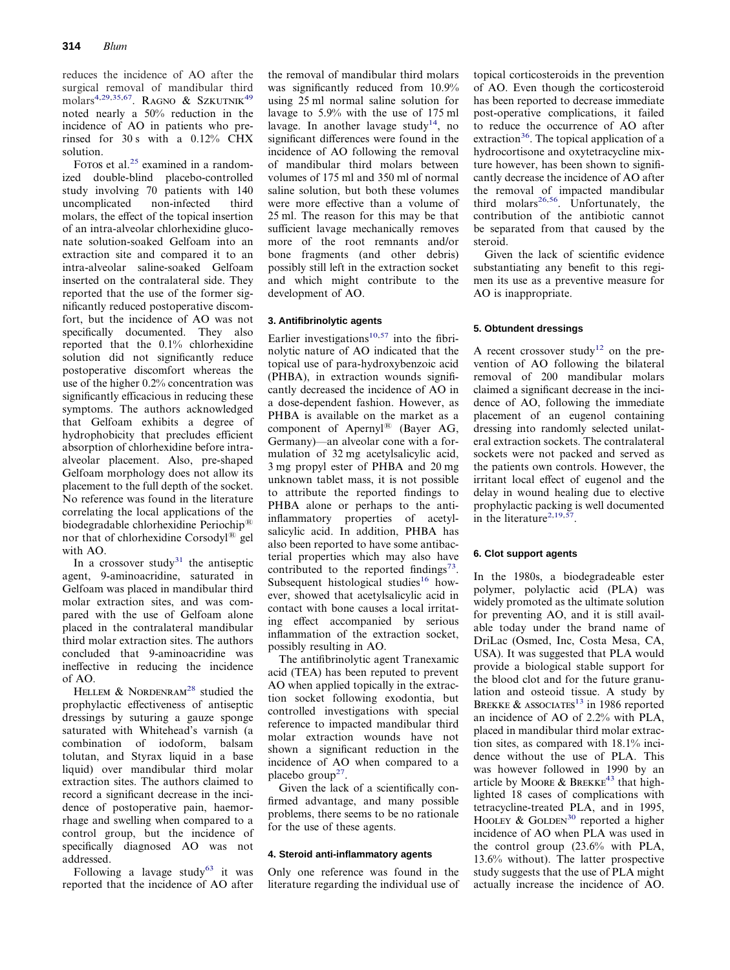reduces the incidence of AO after the surgical removal of mandibular third molars<sup>[4](#page-7-11)[,29](#page-7-39)[,35](#page-7-16),67</sup>. RAGNO & SZKUTNIK<sup>[49](#page-7-40)</sup> noted nearly a 50% reduction in the incidence of AO in patients who prerinsed for 30 s with a 0.12% CHX solution.

FOTOS et al. $25$  examined in a randomized double-blind placebo-controlled study involving 70 patients with 140 uncomplicated non-infected third molars, the effect of the topical insertion of an intra-alveolar chlorhexidine gluconate solution-soaked Gelfoam into an extraction site and compared it to an intra-alveolar saline-soaked Gelfoam inserted on the contralateral side. They reported that the use of the former significantly reduced postoperative discomfort, but the incidence of AO was not specifically documented. They also reported that the 0.1% chlorhexidine solution did not significantly reduce postoperative discomfort whereas the use of the higher 0.2% concentration was significantly efficacious in reducing these symptoms. The authors acknowledged that Gelfoam exhibits a degree of hydrophobicity that precludes efficient absorption of chlorhexidine before intraalveolar placement. Also, pre-shaped Gelfoam morphology does not allow its placement to the full depth of the socket. No reference was found in the literature correlating the local applications of the biodegradable chlorhexidine Periochip<sup>®</sup> nor that of chlorhexidine Corsodyl® gel with AO.

In a crossover study $31$  the antiseptic agent, 9-aminoacridine, saturated in Gelfoam was placed in mandibular third molar extraction sites, and was compared with the use of Gelfoam alone placed in the contralateral mandibular third molar extraction sites. The authors concluded that 9-aminoacridine was ineffective in reducing the incidence of AO.

HELLEM & NORDENRAM<sup>[28](#page-7-43)</sup> studied the prophylactic effectiveness of antiseptic dressings by suturing a gauze sponge saturated with Whitehead's varnish (a combination of iodoform, balsam tolutan, and Styrax liquid in a base liquid) over mandibular third molar extraction sites. The authors claimed to record a significant decrease in the incidence of postoperative pain, haemorrhage and swelling when compared to a control group, but the incidence of specifically diagnosed AO was not addressed.

Following a lavage study<sup>[63](#page-8-22)</sup> it was reported that the incidence of AO after the removal of mandibular third molars was significantly reduced from 10.9% using 25 ml normal saline solution for lavage to 5.9% with the use of 175 ml lavage. In another lavage study<sup>14</sup>, no significant differences were found in the incidence of AO following the removal of mandibular third molars between volumes of 175 ml and 350 ml of normal saline solution, but both these volumes were more effective than a volume of 25 ml. The reason for this may be that sufficient lavage mechanically removes more of the root remnants and/or bone fragments (and other debris) possibly still left in the extraction socket and which might contribute to the development of AO.

# **3. Antifibrinolytic agents**

Earlier investigations<sup>[10](#page-7-45)[,57](#page-8-23)</sup> into the fibrinolytic nature of AO indicated that the topical use of para-hydroxybenzoic acid (PHBA), in extraction wounds significantly decreased the incidence of AO in a dose-dependent fashion. However, as PHBA is available on the market as a component of Apernyl<sup>®</sup> (Bayer AG, Germany)—an alveolar cone with a formulation of 32 mg acetylsalicylic acid, 3 mg propyl ester of PHBA and 20 mg unknown tablet mass, it is not possible to attribute the reported findings to PHBA alone or perhaps to the antiinflammatory properties of acetylsalicylic acid. In addition, PHBA has also been reported to have some antibacterial properties which may also have contributed to the reported findings<sup>73</sup>. Subsequent histological studies<sup>[16](#page-7-46)</sup> however, showed that acetylsalicylic acid in contact with bone causes a local irritating effect accompanied by serious inflammation of the extraction socket, possibly resulting in AO.

The antifibrinolytic agent Tranexamic acid (TEA) has been reputed to prevent AO when applied topically in the extraction socket following exodontia, but controlled investigations with special reference to impacted mandibular third molar extraction wounds have not shown a significant reduction in the incidence of AO when compared to a placebo  $\text{group}^{27}$ .

Given the lack of a scientifically confirmed advantage, and many possible problems, there seems to be no rationale for the use of these agents.

#### **4. Steroid anti-inflammatory agents**

Only one reference was found in the literature regarding the individual use of

topical corticosteroids in the prevention of AO. Even though the corticosteroid has been reported to decrease immediate post-operative complications, it failed to reduce the occurrence of AO after extraction<sup>36</sup>. The topical application of a hydrocortisone and oxytetracycline mixture however, has been shown to significantly decrease the incidence of AO after the removal of impacted mandibular third molars<sup>[26](#page-7-6),56</sup>. Unfortunately, the contribution of the antibiotic cannot be separated from that caused by the steroid.

Given the lack of scientific evidence substantiating any benefit to this regimen its use as a preventive measure for AO is inappropriate.

#### **5. Obtundent dressings**

A recent crossover study<sup>[12](#page-7-12)</sup> on the prevention of AO following the bilateral removal of 200 mandibular molars claimed a significant decrease in the incidence of AO, following the immediate placement of an eugenol containing dressing into randomly selected unilateral extraction sockets. The contralateral sockets were not packed and served as the patients own controls. However, the irritant local effect of eugenol and the delay in wound healing due to elective prophylactic packing is well documented in the literature<sup>[2](#page-7-25)[,19](#page-7-21),5</sup>

#### **6. Clot support agents**

In the 1980s, a biodegradeable ester polymer, polylactic acid (PLA) was widely promoted as the ultimate solution for preventing AO, and it is still available today under the brand name of DriLac (Osmed, Inc, Costa Mesa, CA, USA). It was suggested that PLA would provide a biological stable support for the blood clot and for the future granulation and osteoid tissue. A study by BREKKE  $&$  ASSOCIATES<sup>[13](#page-7-26)</sup> in 1986 reported an incidence of AO of 2.2% with PLA, placed in mandibular third molar extraction sites, as compared with 18.1% incidence without the use of PLA. This was however followed in 1990 by an article by MOORE & BREKKE<sup>[43](#page-7-37)</sup> that highlighted 18 cases of complications with tetracycline-treated PLA, and in 1995, HOOLEY & GOLDEN<sup>[30](#page-7-49)</sup> reported a higher incidence of AO when PLA was used in the control group (23.6% with PLA, 13.6% without). The latter prospective study suggests that the use of PLA might actually increase the incidence of AO.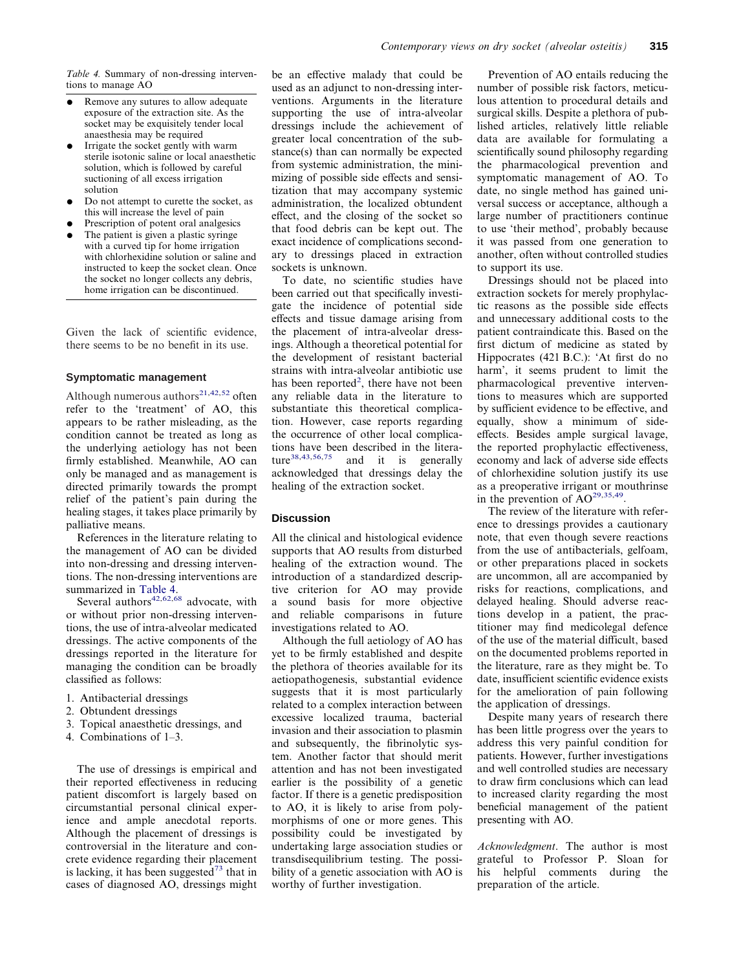Remove any sutures to allow adequate exposure of the extraction site. As the socket may be exquisitely tender local anaesthesia may be required

<span id="page-6-0"></span>tions to manage  $AO$ 

- Irrigate the socket gently with warm sterile isotonic saline or local anaesthetic solution, which is followed by careful suctioning of all excess irrigation solution
- Do not attempt to curette the socket, as this will increase the level of pain
- Prescription of potent oral analgesics
- The patient is given a plastic syringe with a curved tip for home irrigation with chlorhexidine solution or saline and instructed to keep the socket clean. Once the socket no longer collects any debris, home irrigation can be discontinued.

Given the lack of scientific evidence, there seems to be no benefit in its use.

# **Symptomatic management**

Although numerous authors<sup>[21](#page-7-27)[,42](#page-7-22)[,52](#page-8-24)</sup> often refer to the 'treatment' of AO, this appears to be rather misleading, as the condition cannot be treated as long as the underlying aetiology has not been firmly established. Meanwhile, AO can only be managed and as management is directed primarily towards the prompt relief of the patient's pain during the healing stages, it takes place primarily by palliative means.

References in the literature relating to the management of AO can be divided into non-dressing and dressing interventions. The non-dressing interventions are summarized in [Table 4.](#page-6-0)

Several authors $42,62,68$  $42,62,68$  $42,62,68$  advocate, with or without prior non-dressing interventions, the use of intra-alveolar medicated dressings. The active components of the dressings reported in the literature for managing the condition can be broadly classified as follows:

- 1. Antibacterial dressings
- 2. Obtundent dressings
- 3. Topical anaesthetic dressings, and
- 4. Combinations of 1–3.

The use of dressings is empirical and their reported effectiveness in reducing patient discomfort is largely based on circumstantial personal clinical experience and ample anecdotal reports. Although the placement of dressings is controversial in the literature and concrete evidence regarding their placement is lacking, it has been suggested<sup>[73](#page-8-0)</sup> that in cases of diagnosed AO, dressings might be an effective malady that could be used as an adjunct to non-dressing interventions. Arguments in the literature supporting the use of intra-alveolar dressings include the achievement of greater local concentration of the substance(s) than can normally be expected from systemic administration, the minimizing of possible side effects and sensitization that may accompany systemic administration, the localized obtundent effect, and the closing of the socket so that food debris can be kept out. The exact incidence of complications secondary to dressings placed in extraction sockets is unknown.

To date, no scientific studies have been carried out that specifically investigate the incidence of potential side effects and tissue damage arising from the placement of intra-alveolar dressings. Although a theoretical potential for the development of resistant bacterial strains with intra-alveolar antibiotic use has been reported<sup>[2](#page-7-25)</sup>, there have not been any reliable data in the literature to substantiate this theoretical complication. However, case reports regarding the occurrence of other local complications have been described in the litera-<br>ture<sup>38,43,56,75</sup> and it is generally and it is generally acknowledged that dressings delay the healing of the extraction socket.

# **Discussion**

All the clinical and histological evidence supports that AO results from disturbed healing of the extraction wound. The introduction of a standardized descriptive criterion for AO may provide a sound basis for more objective and reliable comparisons in future investigations related to AO.

Although the full aetiology of AO has yet to be firmly established and despite the plethora of theories available for its aetiopathogenesis, substantial evidence suggests that it is most particularly related to a complex interaction between excessive localized trauma, bacterial invasion and their association to plasmin and subsequently, the fibrinolytic system. Another factor that should merit attention and has not been investigated earlier is the possibility of a genetic factor. If there is a genetic predisposition to AO, it is likely to arise from polymorphisms of one or more genes. This possibility could be investigated by undertaking large association studies or transdisequilibrium testing. The possibility of a genetic association with AO is worthy of further investigation.

Prevention of AO entails reducing the number of possible risk factors, meticulous attention to procedural details and surgical skills. Despite a plethora of published articles, relatively little reliable data are available for formulating a scientifically sound philosophy regarding the pharmacological prevention and symptomatic management of AO. To date, no single method has gained universal success or acceptance, although a large number of practitioners continue to use 'their method', probably because it was passed from one generation to another, often without controlled studies

to support its use. Dressings should not be placed into extraction sockets for merely prophylactic reasons as the possible side effects and unnecessary additional costs to the patient contraindicate this. Based on the first dictum of medicine as stated by Hippocrates (421 B.C.): 'At first do no harm', it seems prudent to limit the pharmacological preventive interventions to measures which are supported by sufficient evidence to be effective, and equally, show a minimum of sideeffects. Besides ample surgical lavage, the reported prophylactic effectiveness, economy and lack of adverse side effects of chlorhexidine solution justify its use as a preoperative irrigant or mouthrinse in the prevention of  $AO^{29,35,49}$  $AO^{29,35,49}$  $AO^{29,35,49}$  $AO^{29,35,49}$ 

The review of the literature with reference to dressings provides a cautionary note, that even though severe reactions from the use of antibacterials, gelfoam, or other preparations placed in sockets are uncommon, all are accompanied by risks for reactions, complications, and delayed healing. Should adverse reactions develop in a patient, the practitioner may find medicolegal defence of the use of the material difficult, based on the documented problems reported in the literature, rare as they might be. To date, insufficient scientific evidence exists for the amelioration of pain following the application of dressings.

Despite many years of research there has been little progress over the years to address this very painful condition for patients. However, further investigations and well controlled studies are necessary to draw firm conclusions which can lead to increased clarity regarding the most beneficial management of the patient presenting with AO.

*Acknowledgment*. The author is most grateful to Professor P. Sloan for his helpful comments during the preparation of the article.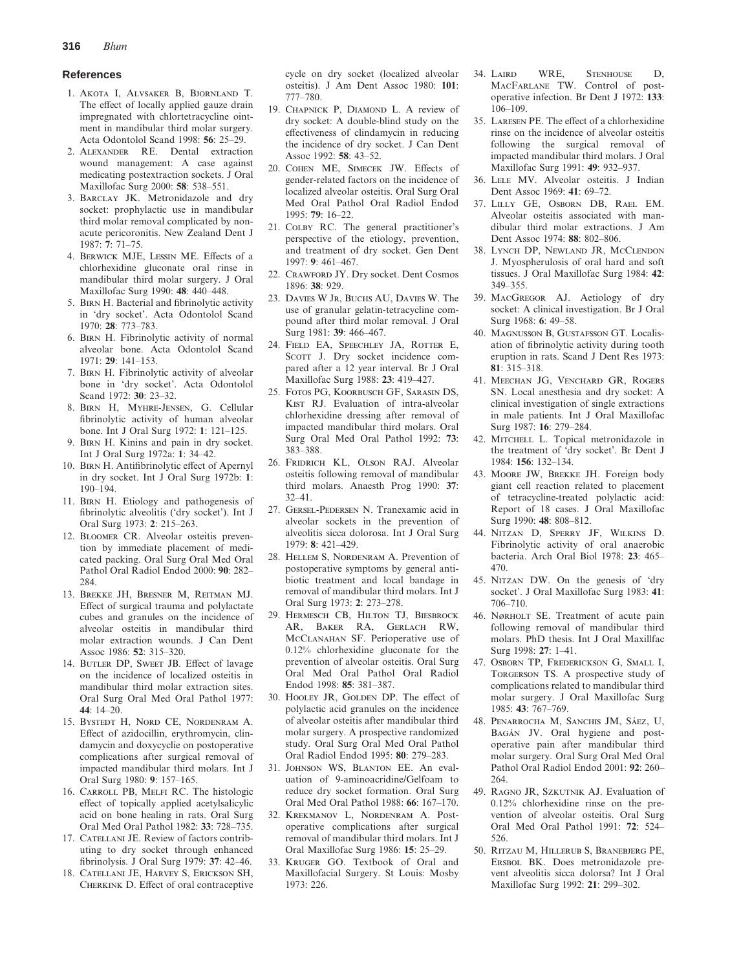# **References**

- <span id="page-7-10"></span>1. AKOTA I, ALVSAKER B, BJORNLAND T. The effect of locally applied gauze drain impregnated with chlortetracycline ointment in mandibular third molar surgery. Acta Odontolol Scand 1998: **56**: 25–29.
- <span id="page-7-25"></span>2. ALEXANDER RE. Dental extraction wound management: A case against medicating postextraction sockets. J Oral Maxillofac Surg 2000: **58**: 538–551.
- <span id="page-7-5"></span>3. BARCLAV IK. Metronidazole and dry socket: prophylactic use in mandibular third molar removal complicated by nonacute pericoronitis. New Zealand Dent J 1987: **7**: 71–75.
- <span id="page-7-11"></span>4. BERWICK MJE, LESSIN ME. Effects of a chlorhexidine gluconate oral rinse in mandibular third molar surgery. J Oral Maxillofac Surg 1990: **48**: 440–448.
- <span id="page-7-1"></span>5. BIRN H. Bacterial and fibrinolytic activity in 'dry socket'. Acta Odontolol Scand 1970: **28**: 773–783.
- <span id="page-7-32"></span>6. BIRN H. Fibrinolytic activity of normal alveolar bone. Acta Odontolol Scand 1971: **29**: 141–153.
- <span id="page-7-2"></span>7. BIRN H. Fibrinolytic activity of alveolar bone in 'dry socket'. Acta Odontolol Scand 1972: **30**: 23–32.
- <span id="page-7-31"></span>8. BIRN H, MYHRE-JENSEN, G. Cellular fibrinolytic activity of human alveolar bone. Int J Oral Surg 1972: **1**: 121–125.
- <span id="page-7-33"></span>9. BIRN H. Kinins and pain in dry socket. Int J Oral Surg 1972a: **1**: 34–42.
- <span id="page-7-45"></span>10. BIRN H. Antifibrinolytic effect of Apernyl in dry socket. Int J Oral Surg 1972b: **1**: 190–194.
- <span id="page-7-3"></span>11. BIRN H. Etiology and pathogenesis of fibrinolytic alveolitis ('dry socket'). Int J Oral Surg 1973: **2**: 215–263.
- <span id="page-7-12"></span>12. BLOOMER CR. Alveolar osteitis prevention by immediate placement of medicated packing. Oral Surg Oral Med Oral Pathol Oral Radiol Endod 2000: **90**: 282– 284.
- <span id="page-7-26"></span>13. BREKKE JH, BRESNER M, REITMAN MJ. Effect of surgical trauma and polylactate cubes and granules on the incidence of alveolar osteitis in mandibular third molar extraction wounds. J Can Dent Assoc 1986: **52**: 315–320.
- <span id="page-7-44"></span>14. BUTLER DP, SWEET JB. Effect of lavage on the incidence of localized osteitis in mandibular third molar extraction sites. Oral Surg Oral Med Oral Pathol 1977: **44**: 14–20.
- <span id="page-7-36"></span>15. BYSTEDT H. NORD CE, NORDENRAM A. Effect of azidocillin, erythromycin, clindamycin and doxycyclie on postoperative complications after surgical removal of impacted mandibular third molars. Int J Oral Surg 1980: **9**: 157–165.
- <span id="page-7-46"></span>16. CARROLL PB, MELFI RC. The histologic effect of topically applied acetylsalicylic acid on bone healing in rats. Oral Surg Oral Med Oral Pathol 1982: **33**: 728–735.
- <span id="page-7-24"></span>17. CATELLANI JE. Review of factors contributing to dry socket through enhanced fibrinolysis. J Oral Surg 1979: **37**: 42–46.
- <span id="page-7-30"></span>18. CATELLANI JE, HARVEY S, ERICKSON SH, CHERKINK D. Effect of oral contraceptive

cycle on dry socket (localized alveolar osteitis). J Am Dent Assoc 1980: **101**: 777–780.

- <span id="page-7-21"></span>19. CHAPNICK P, DIAMOND L. A review of dry socket: A double-blind study on the effectiveness of clindamycin in reducing the incidence of dry socket. J Can Dent Assoc 1992: **58**: 43–52.
- <span id="page-7-29"></span>20. COHEN ME, SIMECEK JW. Effects of gender-related factors on the incidence of localized alveolar osteitis. Oral Surg Oral Med Oral Pathol Oral Radiol Endod 1995: **79**: 16–22.
- <span id="page-7-27"></span>21. COLBY RC. The general practitioner's perspective of the etiology, prevention, and treatment of dry socket. Gen Dent 1997: **9**: 461–467.
- <span id="page-7-0"></span>22. CRAWFORD JY. Dry socket. Dent Cosmos 1896: **38**: 929.
- <span id="page-7-13"></span>23. DAVIES W JR, BUCHS AU, DAVIES W. The use of granular gelatin-tetracycline compound after third molar removal. J Oral Surg 1981: **39**: 466–467.
- <span id="page-7-9"></span>24. FIELD EA, SPEECHLEY JA, ROTTER E, SCOTT J. Dry socket incidence compared after a 12 year interval. Br J Oral Maxillofac Surg 1988: **23**: 419–427.
- <span id="page-7-41"></span>25. FOTOS PG, KOORBUSCH GF, SARASIN DS. KIST RJ. Evaluation of intra-alveolar chlorhexidine dressing after removal of impacted mandibular third molars. Oral Surg Oral Med Oral Pathol 1992: **73**: 383–388.
- <span id="page-7-6"></span>26. FRIDRICH KL, OLSON RAJ. Alveolar osteitis following removal of mandibular third molars. Anaesth Prog 1990: **37**: 32–41.
- <span id="page-7-47"></span>27. GERSEL-PEDERSEN N. Tranexamic acid in alveolar sockets in the prevention of alveolitis sicca dolorosa. Int J Oral Surg 1979: **8**: 421–429.
- <span id="page-7-43"></span>28. HELLEM S, NORDENRAM A. Prevention of postoperative symptoms by general antibiotic treatment and local bandage in removal of mandibular third molars. Int J Oral Surg 1973: **2**: 273–278.
- <span id="page-7-39"></span>29. HERMESCH CB, HILTON TJ, BIESBROCK AR, BAKER RA, GERLACH RW, MCCLANAHAN SF. Perioperative use of 0.12% chlorhexidine gluconate for the prevention of alveolar osteitis. Oral Surg Oral Med Oral Pathol Oral Radiol Endod 1998: **85**: 381–387.
- <span id="page-7-49"></span>30. HOOLEY JR, GOLDEN DP. The effect of polylactic acid granules on the incidence of alveolar osteitis after mandibular third molar surgery. A prospective randomized study. Oral Surg Oral Med Oral Pathol Oral Radiol Endod 1995: **80**: 279–283.
- <span id="page-7-42"></span>31. JOHNSON WS, BLANTON EE. An evaluation of 9-aminoacridine/Gelfoam to reduce dry socket formation. Oral Surg Oral Med Oral Pathol 1988: **66**: 167–170.
- <span id="page-7-35"></span>32. KREKMANOV L, NORDENRAM A. Postoperative complications after surgical removal of mandibular third molars. Int J Oral Maxillofac Surg 1986: **15**: 25–29.
- <span id="page-7-28"></span>33. KRUGER GO. Textbook of Oral and Maxillofacial Surgery. St Louis: Mosby 1973: 226.
- <span id="page-7-15"></span>34. LAIRD WRE, STENHOUSE D, MACFARLANE TW. Control of postoperative infection. Br Dent J 1972: **133**: 106–109.
- <span id="page-7-16"></span>35. LARESEN PE. The effect of a chlorhexidine rinse on the incidence of alveolar osteitis following the surgical removal of impacted mandibular third molars. J Oral Maxillofac Surg 1991: **49**: 932–937.
- <span id="page-7-48"></span>36. LELE MV. Alveolar osteitis. J Indian Dent Assoc 1969: **41**: 69–72.
- <span id="page-7-7"></span>37. LILLY GE, OSBORN DB, RAEL EM. Alveolar osteitis associated with mandibular third molar extractions. J Am Dent Assoc 1974: **88**: 802–806.
- <span id="page-7-38"></span>38. LYNCH DP, NEWLAND JR, MCCLENDON J. Myospherulosis of oral hard and soft tissues. J Oral Maxillofac Surg 1984: **42**: 349–355.
- <span id="page-7-19"></span>39. MACGREGOR AJ. Aetiology of dry socket: A clinical investigation. Br J Oral Surg 1968: **6**: 49–58.
- <span id="page-7-34"></span>40. MAGNUSSON B, GUSTAFSSON GT. Localisation of fibrinolytic activity during tooth eruption in rats. Scand J Dent Res 1973: **81**: 315–318.
- <span id="page-7-17"></span>41. MEECHAN JG, VENCHARD GR, ROGERS SN. Local anesthesia and dry socket: A clinical investigation of single extractions in male patients. Int J Oral Maxillofac Surg 1987: **16**: 279–284.
- <span id="page-7-22"></span>42. MITCHELL L. Topical metronidazole in the treatment of 'dry socket'. Br Dent J 1984: **156**: 132–134.
- <span id="page-7-37"></span>43. MOORE JW, BREKKE JH. Foreign body giant cell reaction related to placement of tetracycline-treated polylactic acid: Report of 18 cases. J Oral Maxillofac Surg 1990: **48**: 808–812.
- <span id="page-7-23"></span>44. NITZAN D, SPERRY JF, WILKINS D. Fibrinolytic activity of oral anaerobic bacteria. Arch Oral Biol 1978: **23**: 465– 470.
- <span id="page-7-8"></span>45. NITZAN DW. On the genesis of 'dry socket'. J Oral Maxillofac Surg 1983: **41**: 706–710.
- <span id="page-7-14"></span>46. NøRHOLT SE. Treatment of acute pain following removal of mandibular third molars. PhD thesis. Int J Oral Maxillfac Surg 1998: **27**: 1–41.
- <span id="page-7-4"></span>47. OSBORN TP, FREDERICKSON G, SMALL I, TORGERSON TS. A prospective study of complications related to mandibular third molar surgery. J Oral Maxillofac Surg 1985: **43**: 767–769.
- <span id="page-7-20"></span>48. PENARROCHA M, SANCHIS JM, SÁEZ, U, BAGÁN JV. Oral hygiene and postoperative pain after mandibular third molar surgery. Oral Surg Oral Med Oral Pathol Oral Radiol Endod 2001: **92**: 260– 264.
- <span id="page-7-40"></span>49. RAGNO JR, SZKUTNIK AJ. Evaluation of 0.12% chlorhexidine rinse on the prevention of alveolar osteitis. Oral Surg Oral Med Oral Pathol 1991: **72**: 524– 526.
- <span id="page-7-18"></span>50. RITZAU M. HILLERUB S. BRANEBJERG PE, ERSBOL BK. Does metronidazole prevent alveolitis sicca dolorsa? Int J Oral Maxillofac Surg 1992: **21**: 299–302.